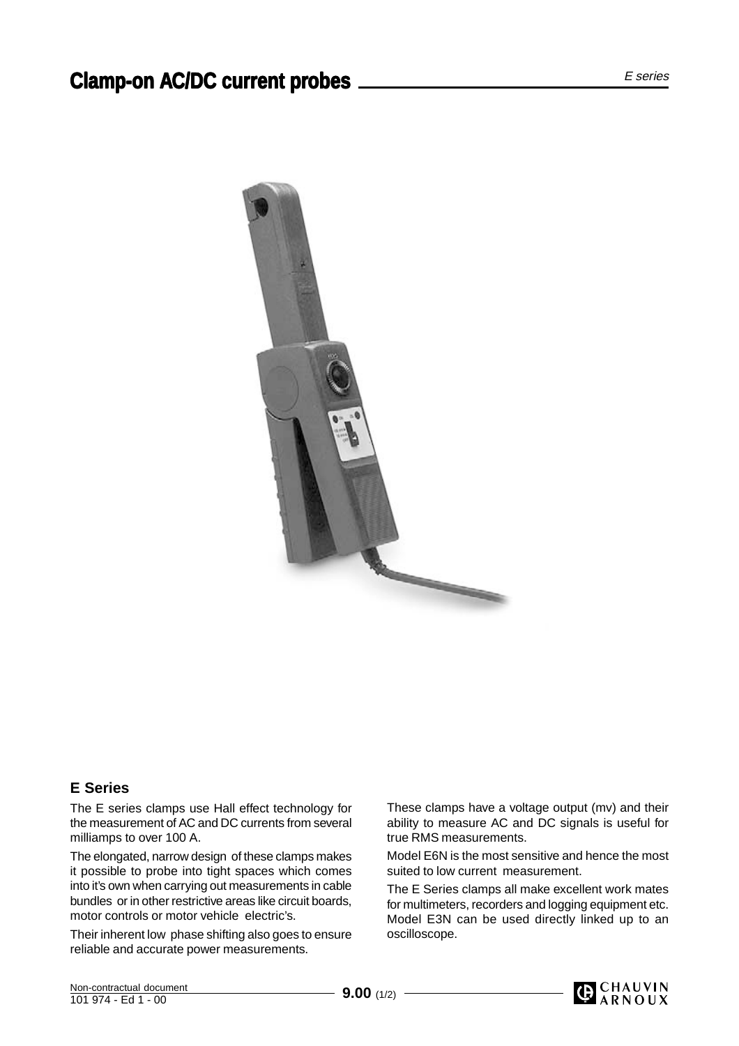

## **E Series**

The E series clamps use Hall effect technology for the measurement of AC and DC currents from several milliamps to over 100 A.

The elongated, narrow design of these clamps makes it possible to probe into tight spaces which comes into it's own when carrying out measurements in cable bundles or in other restrictive areas like circuit boards, motor controls or motor vehicle electric's.

Their inherent low phase shifting also goes to ensure reliable and accurate power measurements.

These clamps have a voltage output (mv) and their ability to measure AC and DC signals is useful for true RMS measurements.

Model E6N is the most sensitive and hence the most suited to low current measurement.

The E Series clamps all make excellent work mates for multimeters, recorders and logging equipment etc. Model E3N can be used directly linked up to an oscilloscope.

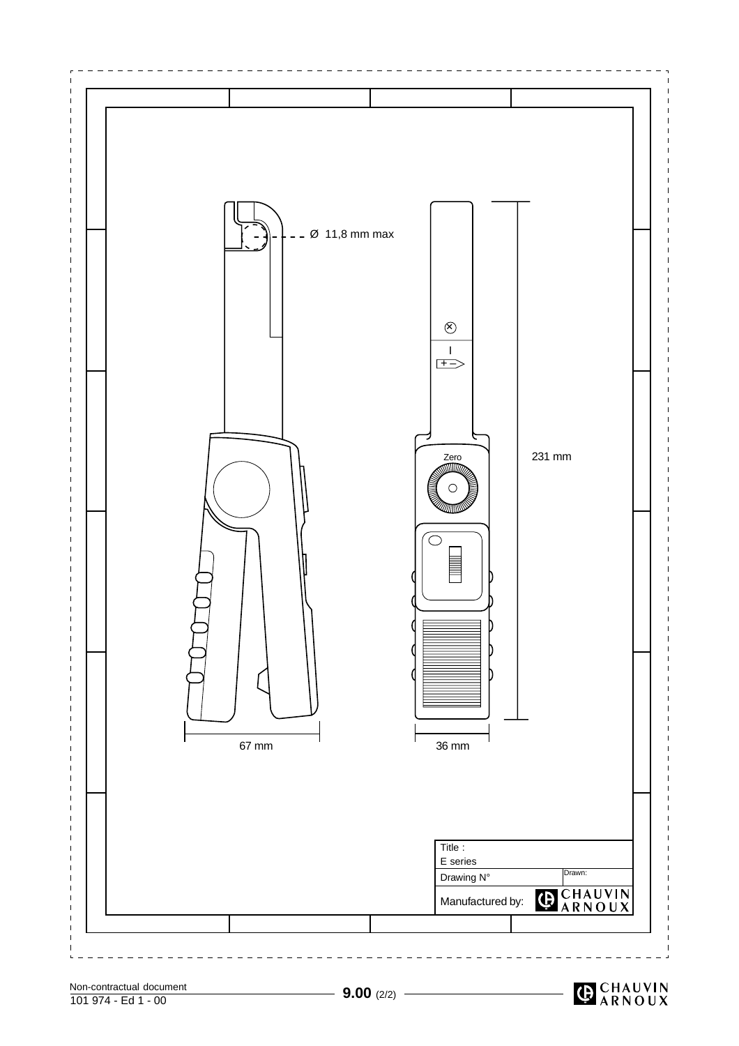